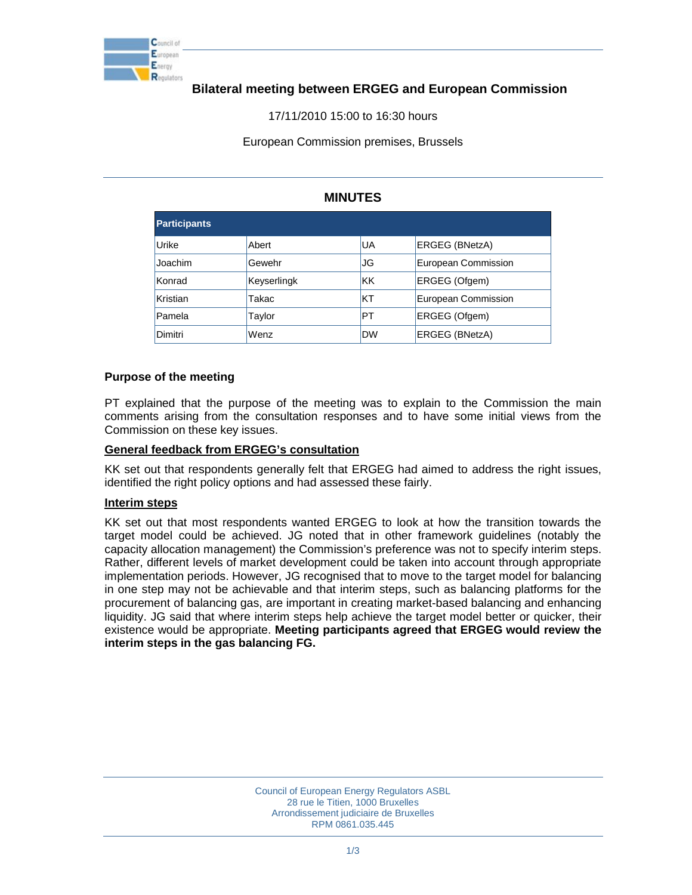

# **Bilateral meeting between ERGEG and European Commission**

17/11/2010 15:00 to 16:30 hours

European Commission premises, Brussels

## **MINUTES**

| <b>Participants</b> |             |            |                     |
|---------------------|-------------|------------|---------------------|
| Urike               | Abert       | lUА        | ERGEG (BNetzA)      |
| Joachim             | Gewehr      | IJG        | European Commission |
| Konrad              | Keyserlingk | lKK        | ERGEG (Ofgem)       |
| Kristian            | Takac       | <b>IKT</b> | European Commission |
| Pamela              | Taylor      | PT         | ERGEG (Ofgem)       |
| Dimitri             | Wenz        | <b>DW</b>  | ERGEG (BNetzA)      |

#### **Purpose of the meeting**

PT explained that the purpose of the meeting was to explain to the Commission the main comments arising from the consultation responses and to have some initial views from the Commission on these key issues.

#### **General feedback from ERGEG's consultation**

KK set out that respondents generally felt that ERGEG had aimed to address the right issues, identified the right policy options and had assessed these fairly.

#### **Interim steps**

KK set out that most respondents wanted ERGEG to look at how the transition towards the target model could be achieved. JG noted that in other framework guidelines (notably the capacity allocation management) the Commission's preference was not to specify interim steps. Rather, different levels of market development could be taken into account through appropriate implementation periods. However, JG recognised that to move to the target model for balancing in one step may not be achievable and that interim steps, such as balancing platforms for the procurement of balancing gas, are important in creating market-based balancing and enhancing liquidity. JG said that where interim steps help achieve the target model better or quicker, their existence would be appropriate. **Meeting participants agreed that ERGEG would review the interim steps in the gas balancing FG.**

> Council of European Energy Regulators ASBL 28 rue le Titien, 1000 Bruxelles Arrondissement judiciaire de Bruxelles RPM 0861.035.445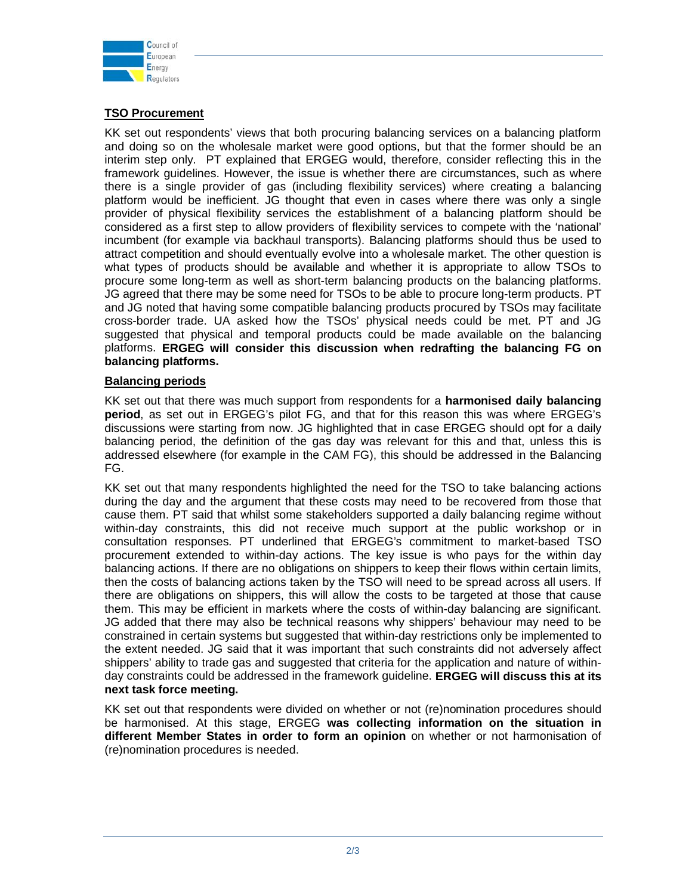

### **TSO Procurement**

KK set out respondents' views that both procuring balancing services on a balancing platform and doing so on the wholesale market were good options, but that the former should be an interim step only. PT explained that ERGEG would, therefore, consider reflecting this in the framework guidelines. However, the issue is whether there are circumstances, such as where there is a single provider of gas (including flexibility services) where creating a balancing platform would be inefficient. JG thought that even in cases where there was only a single provider of physical flexibility services the establishment of a balancing platform should be considered as a first step to allow providers of flexibility services to compete with the 'national' incumbent (for example via backhaul transports). Balancing platforms should thus be used to attract competition and should eventually evolve into a wholesale market. The other question is what types of products should be available and whether it is appropriate to allow TSOs to procure some long-term as well as short-term balancing products on the balancing platforms. JG agreed that there may be some need for TSOs to be able to procure long-term products. PT and JG noted that having some compatible balancing products procured by TSOs may facilitate cross-border trade. UA asked how the TSOs' physical needs could be met. PT and JG suggested that physical and temporal products could be made available on the balancing platforms. **ERGEG will consider this discussion when redrafting the balancing FG on balancing platforms.**

### **Balancing periods**

KK set out that there was much support from respondents for a **harmonised daily balancing period**, as set out in ERGEG's pilot FG, and that for this reason this was where ERGEG's discussions were starting from now. JG highlighted that in case ERGEG should opt for a daily balancing period, the definition of the gas day was relevant for this and that, unless this is addressed elsewhere (for example in the CAM FG), this should be addressed in the Balancing FG.

KK set out that many respondents highlighted the need for the TSO to take balancing actions during the day and the argument that these costs may need to be recovered from those that cause them. PT said that whilst some stakeholders supported a daily balancing regime without within-day constraints, this did not receive much support at the public workshop or in consultation responses. PT underlined that ERGEG's commitment to market-based TSO procurement extended to within-day actions. The key issue is who pays for the within day balancing actions. If there are no obligations on shippers to keep their flows within certain limits, then the costs of balancing actions taken by the TSO will need to be spread across all users. If there are obligations on shippers, this will allow the costs to be targeted at those that cause them. This may be efficient in markets where the costs of within-day balancing are significant. JG added that there may also be technical reasons why shippers' behaviour may need to be constrained in certain systems but suggested that within-day restrictions only be implemented to the extent needed. JG said that it was important that such constraints did not adversely affect shippers' ability to trade gas and suggested that criteria for the application and nature of withinday constraints could be addressed in the framework guideline. **ERGEG will discuss this at its next task force meeting.**

KK set out that respondents were divided on whether or not (re)nomination procedures should be harmonised. At this stage, ERGEG **was collecting information on the situation in different Member States in order to form an opinion** on whether or not harmonisation of (re)nomination procedures is needed.